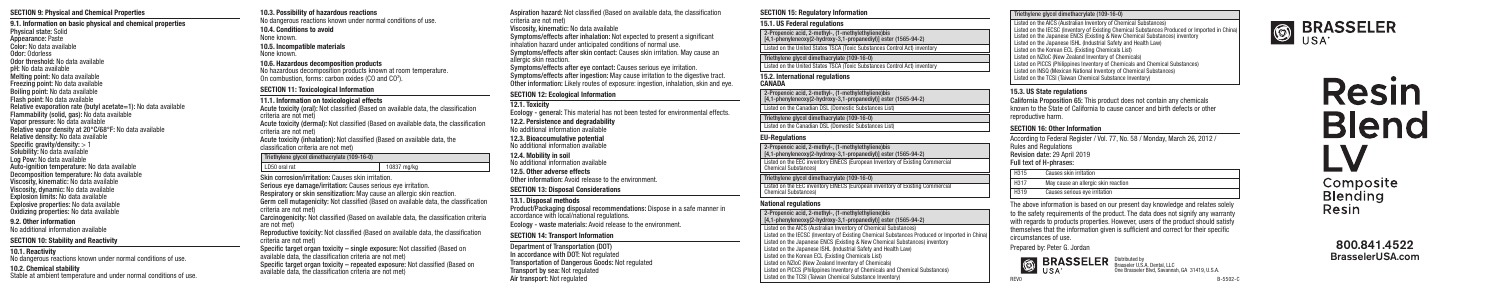800.841.4522 BrasselerUSA.com

#### SECTION 9: Physical and Chemical Properties

#### 9.1. Information on basic physical and chemical properties Physical state: Solid Appearance: Paste Color: No data available Odor: Odorless Odor threshold: No data available pH: No data available Melting point: No data available Freezing point: No data available Boiling point: No data available Flash point: No data available Relative evaporation rate (butyl acetate=1): No data available Flammability (solid, gas): No data available Vapor pressure: No data available Relative vapor density at 20°C/68°F: No data available Relative density: No data available Specific gravity/density: > 1 Solubility: No data available Log Pow: No data available Auto-ignition temperature: No data available Decomposition temperature: No data available Viscosity, kinematic: No data available

No hazardous decomposition products known at room temperature. On combustion, forms: carbon oxides (CO and CO<sup>2</sup>).

Viscosity, dynamic: No data available

Explosion limits: No data available Explosive properties: No data available

Oxidizing properties: No data available

## 9.2. Other information

No additional information available

## SECTION 10: Stability and Reactivity

#### 10.1. Reactivity

Symptoms/effects after skin contact: Causes skin irritation. May cause an allergic skin reaction.

No dangerous reactions known under normal conditions of use. 10.2. Chemical stability

#### Stable at ambient temperature and under normal conditions of use.

#### 10.3. Possibility of hazardous reactions

No dangerous reactions known under normal conditions of use.

## 10.4. Conditions to avoid

None known.

## 10.5. Incompatible materials

None known.

#### 10.6. Hazardous decomposition products

## SECTION 11: Toxicological Information

#### 11.1. Information on toxicological effects

Acute toxicity (oral): Not classified (Based on available data, the classification criteria are not met) Acute toxicity (dermal): Not classified (Based on available data, the classification

criteria are not met)

Acute toxicity (inhalation): Not classified (Based on available data, the classification criteria are not met)

Specific target organ toxicity – single exposure: Not classified (Based on available data, the classification criteria are not met) Specific target organ toxicity – repeated exposure: Not classified (Based on Aspiration hazard: Not classified (Based on available data, the classification criteria are not met) Viscosity, kinematic: No data available

Symptoms/effects after inhalation: Not expected to present a significant inhalation hazard under anticipated conditions of normal use.

Symptoms/effects after eye contact: Causes serious eye irritation. Symptoms/effects after ingestion: May cause irritation to the digestive tract. Other information: Likely routes of exposure: ingestion, inhalation, skin and eye.

## SECTION 12: Ecological Information

#### 12.1. Toxicity

Ecology - general: This material has not been tested for environmental effects.

12.2. Persistence and degradability No additional information available

12.3. Bioaccumulative potential

No additional information available

#### 12.4. Mobility in soil

No additional information available

12.5. Other adverse effects Other information: Avoid release to the environment.

## SECTION 13: Disposal Considerations

## 13.1. Disposal methods

Product/Packaging disposal recommendations: Dispose in a safe manner in accordance with local/national regulations. Ecology - waste materials: Avoid release to the environment.

## SECTION 14: Transport Information

Department of Transportation (DOT) In accordance with DOT: Not regulated Transportation of Dangerous Goods: Not regulated Transport by sea: Not regulated Air transport: Not regulated

## Triethylene glycol dimethacrylate (109-16-0)

LD50 oral rat 10837 mg/kg

#### Skin corrosion/irritation: Causes skin irritation.

Serious eye damage/irritation: Causes serious eye irritation.

Respiratory or skin sensitization: May cause an allergic skin reaction.

Germ cell mutagenicity: Not classified (Based on available data, the classification criteria are not met)

Carcinogenicity: Not classified (Based on available data, the classification criteria are not met)

Reproductive toxicity: Not classified (Based on available data, the classification criteria are not met)

available data, the classification criteria are not met)

## SECTION 15: Regulatory Information 15.1. US Federal regulations 2-Propenoic acid, 2-methyl-, (1-methylethyliene)bis [4,1-phenyleneoxy(2-hydroxy-3,1-propanediyl)] ester (1565-94-2) Listed on the United States TSCA (Toxic Substances Control Act) inventory Triethylene glycol dimethacrylate (109-16-0) Listed on the United States TSCA (Toxic Substances Control Act) inventory 2-Propenoic acid, 2-methyl-, (1-methylethyliene)bis [4,1-phenyleneoxy(2-hydroxy-3,1-propanediyl)] ester (1565-94-2) Listed on the Canadian DSL (Domestic Substances List) Triethylene glycol dimethacrylate (109-16-0) Listed on the Canadian DSL (Domestic Substances List) 15.2. International regulations CANADA 2-Propenoic acid, 2-methyl-, (1-methylethyliene)his  $[4,1$ -phenyleneoxy(2-hydroxy-3,1-propanediyl)] ester (1565-94-2) Listed on the EEC inventory EINECS (European Inventory of Existing Commercial Chemical Substances) 2-Propenoic acid, 2-methyl-, (1-methylethyliene)bis [4,1-phenyleneoxy(2-hydroxy-3,1-propanediyl)] ester (1565-94-2) Triethylene glycol dimethacrylate (109-16-0) Listed on the EEC inventory EINECS (European inventory of Existing Commercial Chemical Substances) EU-Regulations National regulations

Listed on the AICS (Australian Inventory of Chemical Substances) Listed on the IECSC (Inventory of Existing Chemical Substances Produced or Imported in China) Listed on the Japanese ENCS (Existing & New Chemical Substances) inventory Listed on the Japanese ISHL (Industrial Safety and Health Law) Listed on the Korean ECL (Existing Chemicals List) Listed on NZIoC (New Zealand Inventory of Chemicals) Listed on PICCS (Philippines Inventory of Chemicals and Chemical Substances) Listed on the TCSI (Taiwan Chemical Substance Inventory)

#### Triethylene glycol dimethacrylate (109-16-0)

- Listed on the AICS (Australian Inventory of Chemical Substances)
- Listed on the IECSC (Inventory of Existing Chemical Substances Produced or Imported in China)
- Listed on the Japanese ENCS (Existing & New Chemical Substances) inventory
- Listed on the Japanese ISHL (Industrial Safety and Health Law)
- Listed on the Korean ECL (Existing Chemicals List)
- Listed on NZIoC (New Zealand Inventory of Chemicals)
- Listed on PICCS (Philippines Inventory of Chemicals and Chemical Substances)
- Listed on INSQ (Mexican National Inventory of Chemical Substances)
- Listed on the TCSI (Taiwan Chemical Substance Inventory)

#### 15.3. US State regulations

California Proposition 65: This product does not contain any chemicals known to the State of California to cause cancer and birth defects or other

reproductive harm.



#### SECTION 16: Other Information

According to Federal Register / Vol. 77, No. 58 / Monday, March 26, 2012 / Rules and Regulations Revision date: 29 April 2019 Full text of H-phrases:

H315 Causes skin irritation H317 May cause an allergic skin reaction H319 Causes serious eye irritation

The above information is based on our present day knowledge and relates solely to the safety requirements of the product. The data does not signify any warranty with regards to products properties. However, users of the product should satisfy themselves that the information given is sufficient and correct for their specific circumstances of use.

Prepared by: Peter G. Jordan



Distributed by Brasseler U.S.A. Dental, LLC One Brasseler Blvd, Savannah, GA 31419, U.S.A.



# Resin **Blend** Composite **Blending** Resin